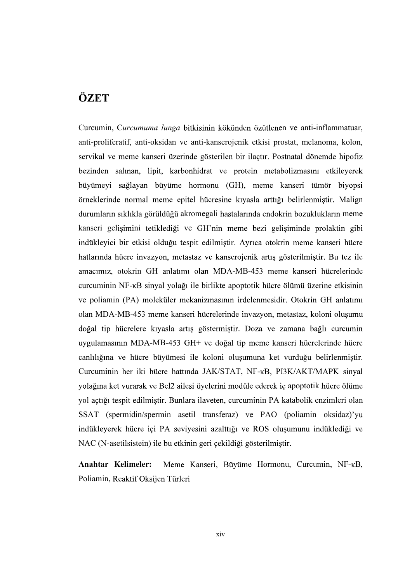## ÖZET

Curcumin, Curcumuma lunga bitkisinin kökünden özütlenen ve anti-inflammatuar, anti-proliferatif, anti-oksidan ve anti-kanserojenik etkisi prostat, melanoma, kolon, servikal ve meme kanseri üzerinde gösterilen bir ilaçtır. Postnatal dönemde hipofiz bezinden salınan, lipit, karbonhidrat ve protein metabolizmasını etkileyerek büyümeyi sağlayan büyüme hormonu (GH), meme kanseri tümör biyopsi örneklerinde normal meme epitel hücresine kıyasla arttığı belirlenmiştir. Malign durumların sıklıkla görüldüğü akromegali hastalarında endokrin bozuklukların meme kanseri gelişimini tetiklediği ve GH'nin meme bezi gelişiminde prolaktin gibi indükleyici bir etkisi olduğu tespit edilmiştir. Ayrıca otokrin meme kanseri hücre hatlarında hücre invazyon, metastaz ve kanserojenik artış gösterilmiştir. Bu tez ile amacımız, otokrin GH anlatımı olan MDA-MB-453 meme kanseri hücrelerinde curcuminin NF-<sub>K</sub>B sinval volağı ile birlikte apoptotik hücre ölümü üzerine etkisinin ve poliamin (PA) moleküler mekanizmasının irdelenmesidir. Otokrin GH anlatımı olan MDA-MB-453 meme kanseri hücrelerinde invazyon, metastaz, koloni oluşumu doğal tip hücrelere kıyasla artış göstermiştir. Doza ve zamana bağlı curcumin uygulamasının MDA-MB-453 GH+ ve doğal tip meme kanseri hücrelerinde hücre canlılığına ve hücre büyümesi ile koloni oluşumuna ket vurduğu belirlenmiştir. Curcuminin her iki hücre hattında JAK/STAT, NF-KB, PI3K/AKT/MAPK sinyal yolağına ket vurarak ve Bcl2 ailesi üyelerini modüle ederek iç apoptotik hücre ölüme vol actiği tespit edilmiştir. Bunlara ilaveten, curcuminin PA katabolik enzimleri olan SSAT (spermidin/spermin asetil transferaz) ve PAO (poliamin oksidaz) indükleyerek hücre içi PA seviyesini azalttığı ve ROS oluşumunu indüklediği ve NAC (N-asetilsistein) ile bu etkinin geri çekildiği gösterilmiştir.

Anahtar Kelimeler: Meme Kanseri, Büyüme Hormonu, Curcumin, NF-KB, Poliamin, Reaktif Oksijen Türleri